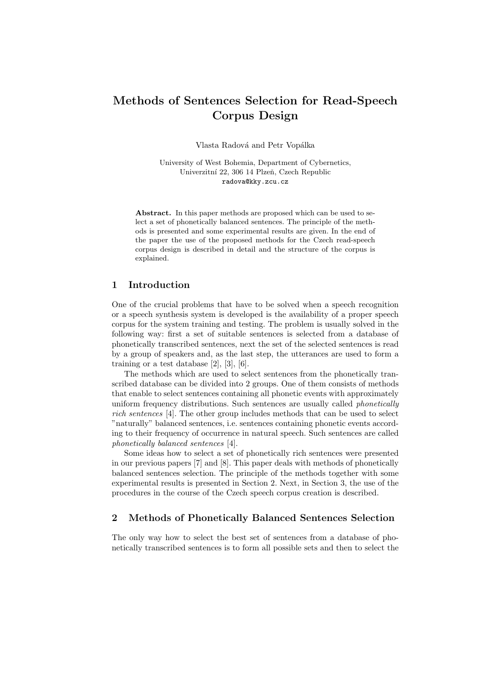# Methods of Sentences Selection for Read-Speech Corpus Design

Vlasta Radová and Petr Vopálka

University of West Bohemia, Department of Cybernetics, Univerzitní 22, 306 14 Plzeň, Czech Republic radova@kky.zcu.cz

Abstract. In this paper methods are proposed which can be used to select a set of phonetically balanced sentences. The principle of the methods is presented and some experimental results are given. In the end of the paper the use of the proposed methods for the Czech read-speech corpus design is described in detail and the structure of the corpus is explained.

## 1 Introduction

One of the crucial problems that have to be solved when a speech recognition or a speech synthesis system is developed is the availability of a proper speech corpus for the system training and testing. The problem is usually solved in the following way: first a set of suitable sentences is selected from a database of phonetically transcribed sentences, next the set of the selected sentences is read by a group of speakers and, as the last step, the utterances are used to form a training or a test database [2], [3], [6].

The methods which are used to select sentences from the phonetically transcribed database can be divided into 2 groups. One of them consists of methods that enable to select sentences containing all phonetic events with approximately uniform frequency distributions. Such sentences are usually called *phonetically* rich sentences [4]. The other group includes methods that can be used to select "naturally" balanced sentences, i.e. sentences containing phonetic events according to their frequency of occurrence in natural speech. Such sentences are called phonetically balanced sentences [4].

Some ideas how to select a set of phonetically rich sentences were presented in our previous papers [7] and [8]. This paper deals with methods of phonetically balanced sentences selection. The principle of the methods together with some experimental results is presented in Section 2. Next, in Section 3, the use of the procedures in the course of the Czech speech corpus creation is described.

## 2 Methods of Phonetically Balanced Sentences Selection

The only way how to select the best set of sentences from a database of phonetically transcribed sentences is to form all possible sets and then to select the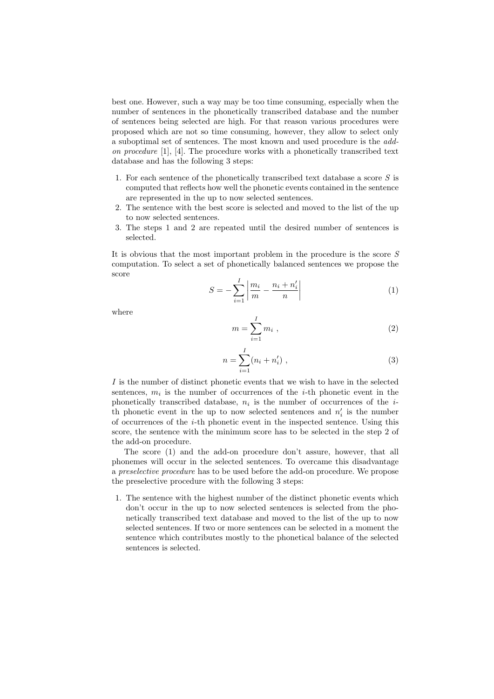best one. However, such a way may be too time consuming, especially when the number of sentences in the phonetically transcribed database and the number of sentences being selected are high. For that reason various procedures were proposed which are not so time consuming, however, they allow to select only a suboptimal set of sentences. The most known and used procedure is the addon procedure  $[1]$ ,  $[4]$ . The procedure works with a phonetically transcribed text database and has the following 3 steps:

- 1. For each sentence of the phonetically transcribed text database a score S is computed that reflects how well the phonetic events contained in the sentence are represented in the up to now selected sentences.
- 2. The sentence with the best score is selected and moved to the list of the up to now selected sentences.
- 3. The steps 1 and 2 are repeated until the desired number of sentences is selected.

It is obvious that the most important problem in the procedure is the score  $S$ computation. To select a set of phonetically balanced sentences we propose the score

$$
S = -\sum_{i=1}^{I} \left| \frac{m_i}{m} - \frac{n_i + n'_i}{n} \right| \tag{1}
$$

where

$$
m = \sum_{i=1}^{I} m_i , \qquad (2)
$$

$$
n = \sum_{i=1}^{I} (n_i + n'_i) \tag{3}
$$

I is the number of distinct phonetic events that we wish to have in the selected sentences,  $m_i$  is the number of occurrences of the *i*-th phonetic event in the phonetically transcribed database,  $n_i$  is the number of occurrences of the *i*th phonetic event in the up to now selected sentences and  $n'_i$  is the number of occurrences of the  $i$ -th phonetic event in the inspected sentence. Using this score, the sentence with the minimum score has to be selected in the step 2 of the add-on procedure.

The score (1) and the add-on procedure don't assure, however, that all phonemes will occur in the selected sentences. To overcame this disadvantage a preselective procedure has to be used before the add-on procedure. We propose the preselective procedure with the following 3 steps:

1. The sentence with the highest number of the distinct phonetic events which don't occur in the up to now selected sentences is selected from the phonetically transcribed text database and moved to the list of the up to now selected sentences. If two or more sentences can be selected in a moment the sentence which contributes mostly to the phonetical balance of the selected sentences is selected.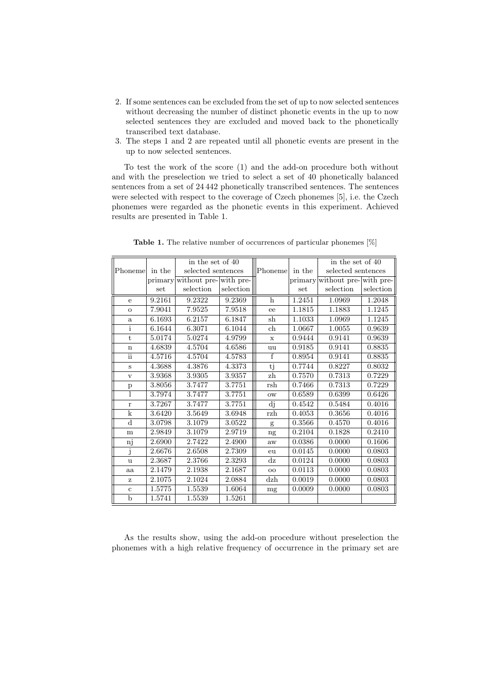- 2. If some sentences can be excluded from the set of up to now selected sentences without decreasing the number of distinct phonetic events in the up to now selected sentences they are excluded and moved back to the phonetically transcribed text database.
- 3. The steps 1 and 2 are repeated until all phonetic events are present in the up to now selected sentences.

To test the work of the score (1) and the add-on procedure both without and with the preselection we tried to select a set of 40 phonetically balanced sentences from a set of 24 442 phonetically transcribed sentences. The sentences were selected with respect to the coverage of Czech phonemes [5], i.e. the Czech phonemes were regarded as the phonetic events in this experiment. Achieved results are presented in Table 1.

|              |        | in the set of 40              |           |               |         | in the set of 40       |                     |
|--------------|--------|-------------------------------|-----------|---------------|---------|------------------------|---------------------|
| Phoneme      | in the | selected sentences            |           | Phoneme       | in the  | selected sentences     |                     |
|              |        | primary without pre-with pre- |           |               | primary | without pre- with pre- |                     |
|              | set    | selection                     | selection |               | set     | selection              | selection           |
| $\mathbf{e}$ | 9.2161 | 9.2322                        | 9.2369    | h             | 1.2451  | 1.0969                 | 1.2048              |
| $\mathbf{o}$ | 7.9041 | 7.9525                        | 7.9518    | ee            | 1.1815  | 1.1883                 | 1.1245              |
| $\rm{a}$     | 6.1693 | 6.2157                        | 6.1847    | sh            | 1.1033  | 1.0969                 | $\overline{1.1245}$ |
| $\mathbf{i}$ | 6.1644 | 6.3071                        | 6.1044    | ch            | 1.0667  | 1.0055                 | 0.9639              |
| t.           | 5.0174 | 5.0274                        | 4.9799    | $\mathbf x$   | 0.9444  | 0.9141                 | 0.9639              |
| $\mathbf n$  | 4.6839 | 4.5704                        | 4.6586    | uu            | 0.9185  | 0.9141                 | 0.8835              |
| ii           | 4.5716 | 4.5704                        | 4.5783    | $\mathbf f$   | 0.8954  | 0.9141                 | 0.8835              |
| S            | 4.3688 | 4.3876                        | 4.3373    | tj            | 0.7744  | 0.8227                 | 0.8032              |
| $\mathbf{V}$ | 3.9368 | 3.9305                        | 3.9357    | zh            | 0.7570  | 0.7313                 | 0.7229              |
| $\mathbf{p}$ | 3.8056 | 3.7477                        | 3.7751    | rsh           | 0.7466  | 0.7313                 | 0.7229              |
|              | 3.7974 | 3.7477                        | 3.7751    | $_{\rm OW}$   | 0.6589  | 0.6399                 | 0.6426              |
| $\mathbf{r}$ | 3.7267 | 3.7477                        | 3.7751    | dj            | 0.4542  | 0.5484                 | 0.4016              |
| $\mathbf k$  | 3.6420 | 3.5649                        | 3.6948    | rzh           | 0.4053  | 0.3656                 | 0.4016              |
| $\mathbf d$  | 3.0798 | 3.1079                        | 3.0522    | g             | 0.3566  | 0.4570                 | 0.4016              |
| m            | 2.9849 | 3.1079                        | 2.9719    | ng            | 0.2104  | 0.1828                 | 0.2410              |
| nj           | 2.6900 | 2.7422                        | 2.4900    | aw            | 0.0386  | 0.0000                 | 0.1606              |
| j            | 2.6676 | 2.6508                        | 2.7309    | eu            | 0.0145  | 0.0000                 | 0.0803              |
| $\mathbf u$  | 2.3687 | 2.3766                        | 2.3293    | $\mathrm{d}z$ | 0.0124  | 0.0000                 | 0.0803              |
| aa           | 2.1479 | 2.1938                        | 2.1687    | $_{\rm oo}$   | 0.0113  | 0.0000                 | 0.0803              |
| $\mathbf{z}$ | 2.1075 | 2.1024                        | 2.0884    | dzh           | 0.0019  | 0.0000                 | 0.0803              |
| $\mathbf{c}$ | 1.5775 | 1.5539                        | 1.6064    | mg            | 0.0009  | 0.0000                 | 0.0803              |
| $\mathbf b$  | 1.5741 | 1.5539                        | 1.5261    |               |         |                        |                     |

Table 1. The relative number of occurrences of particular phonemes [%]

As the results show, using the add-on procedure without preselection the phonemes with a high relative frequency of occurrence in the primary set are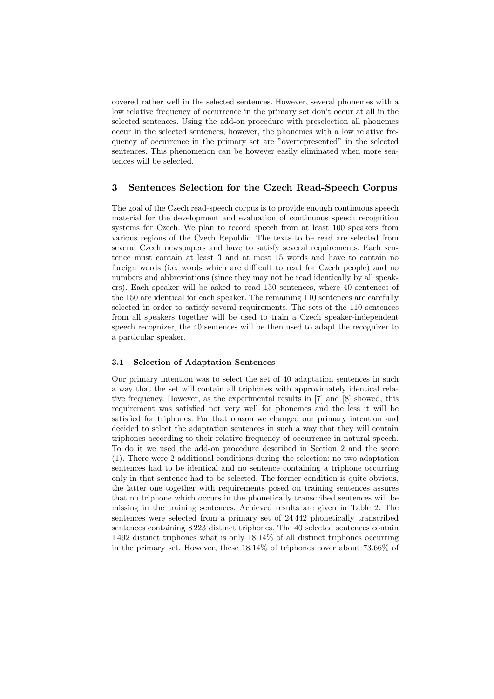covered rather well in the selected sentences. However, several phonemes with a low relative frequency of occurrence in the primary set don't occur at all in the selected sentences. Using the add-on procedure with preselection all phonemes occur in the selected sentences, however, the phonemes with a low relative frequency of occurrence in the primary set are "overrepresented" in the selected sentences. This phenomenon can be however easily eliminated when more sentences will be selected.

## 3 Sentences Selection for the Czech Read-Speech Corpus

The goal of the Czech read-speech corpus is to provide enough continuous speech material for the development and evaluation of continuous speech recognition systems for Czech. We plan to record speech from at least 100 speakers from various regions of the Czech Republic. The texts to be read are selected from several Czech newspapers and have to satisfy several requirements. Each sentence must contain at least 3 and at most 15 words and have to contain no foreign words (i.e. words which are difficult to read for Czech people) and no numbers and abbreviations (since they may not be read identically by all speakers). Each speaker will be asked to read 150 sentences, where 40 sentences of the 150 are identical for each speaker. The remaining 110 sentences are carefully selected in order to satisfy several requirements. The sets of the 110 sentences from all speakers together will be used to train a Czech speaker-independent speech recognizer, the 40 sentences will be then used to adapt the recognizer to a particular speaker.

#### 3.1 Selection of Adaptation Sentences

Our primary intention was to select the set of 40 adaptation sentences in such a way that the set will contain all triphones with approximately identical relative frequency. However, as the experimental results in [7] and [8] showed, this requirement was satisfied not very well for phonemes and the less it will be satisfied for triphones. For that reason we changed our primary intention and decided to select the adaptation sentences in such a way that they will contain triphones according to their relative frequency of occurrence in natural speech. To do it we used the add-on procedure described in Section 2 and the score (1). There were 2 additional conditions during the selection: no two adaptation sentences had to be identical and no sentence containing a triphone occurring only in that sentence had to be selected. The former condition is quite obvious, the latter one together with requirements posed on training sentences assures that no triphone which occurs in the phonetically transcribed sentences will be missing in the training sentences. Achieved results are given in Table 2. The sentences were selected from a primary set of 24 442 phonetically transcribed sentences containing 8 223 distinct triphones. The 40 selected sentences contain 1 492 distinct triphones what is only 18.14% of all distinct triphones occurring in the primary set. However, these 18.14% of triphones cover about 73.66% of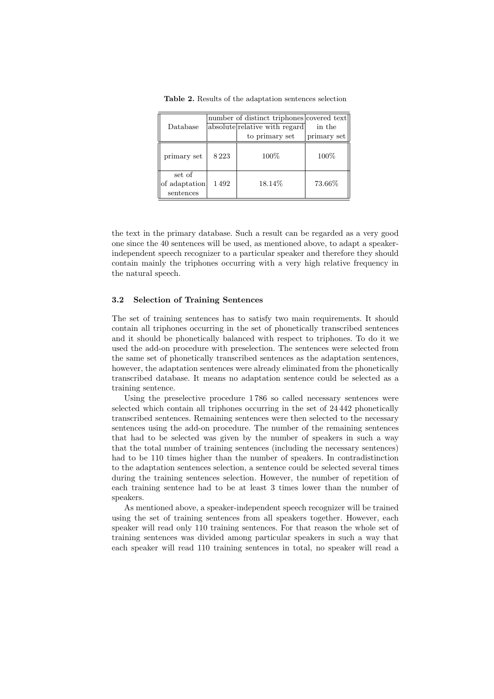|                                      |      | number of distinct triphones covered text |             |
|--------------------------------------|------|-------------------------------------------|-------------|
| Database                             |      | absolute relative with regard             | in the      |
|                                      |      | to primary set                            | primary set |
| primary set                          | 8223 | 100%                                      | 100%        |
| set of<br>of adaptation<br>sentences | 1492 | 18.14%                                    | 73.66%      |

Table 2. Results of the adaptation sentences selection

the text in the primary database. Such a result can be regarded as a very good one since the 40 sentences will be used, as mentioned above, to adapt a speakerindependent speech recognizer to a particular speaker and therefore they should contain mainly the triphones occurring with a very high relative frequency in the natural speech.

#### 3.2 Selection of Training Sentences

The set of training sentences has to satisfy two main requirements. It should contain all triphones occurring in the set of phonetically transcribed sentences and it should be phonetically balanced with respect to triphones. To do it we used the add-on procedure with preselection. The sentences were selected from the same set of phonetically transcribed sentences as the adaptation sentences, however, the adaptation sentences were already eliminated from the phonetically transcribed database. It means no adaptation sentence could be selected as a training sentence.

Using the preselective procedure 1 786 so called necessary sentences were selected which contain all triphones occurring in the set of 24 442 phonetically transcribed sentences. Remaining sentences were then selected to the necessary sentences using the add-on procedure. The number of the remaining sentences that had to be selected was given by the number of speakers in such a way that the total number of training sentences (including the necessary sentences) had to be 110 times higher than the number of speakers. In contradistinction to the adaptation sentences selection, a sentence could be selected several times during the training sentences selection. However, the number of repetition of each training sentence had to be at least 3 times lower than the number of speakers.

As mentioned above, a speaker-independent speech recognizer will be trained using the set of training sentences from all speakers together. However, each speaker will read only 110 training sentences. For that reason the whole set of training sentences was divided among particular speakers in such a way that each speaker will read 110 training sentences in total, no speaker will read a